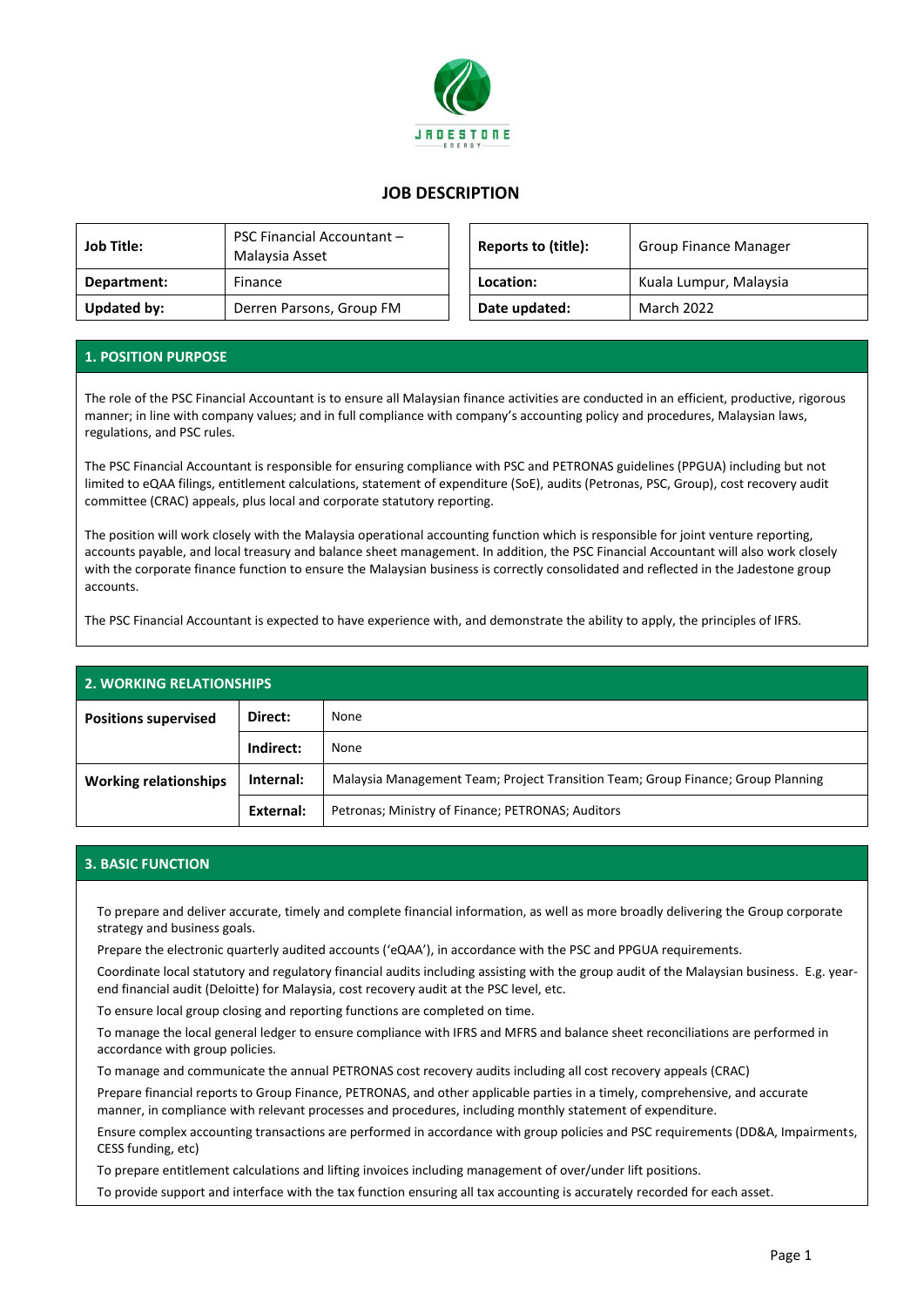

## **JOB DESCRIPTION**

| <b>Job Title:</b> | <b>PSC Financial Accountant -</b><br>Malaysia Asset | Reports to (title): | <b>Group Finance Manager</b> |
|-------------------|-----------------------------------------------------|---------------------|------------------------------|
| Department:       | Finance                                             | Location:           | Kuala Lumpur, Malaysia       |
| Updated by:       | Derren Parsons, Group FM                            | Date updated:       | March 2022                   |

| <b>PSC Financial Accountant -</b><br>Malaysia Asset | Reports to (title): | <b>Group Finance Manager</b> |  |
|-----------------------------------------------------|---------------------|------------------------------|--|
| Finance                                             | Location:           | Kuala Lumpur, Malaysia       |  |
| Derren Parsons, Group FM                            | Date updated:       | <b>March 2022</b>            |  |

## **1. POSITION PURPOSE**

The role of the PSC Financial Accountant is to ensure all Malaysian finance activities are conducted in an efficient, productive, rigorous manner; in line with company values; and in full compliance with company's accounting policy and procedures, Malaysian laws, regulations, and PSC rules.

The PSC Financial Accountant is responsible for ensuring compliance with PSC and PETRONAS guidelines (PPGUA) including but not limited to eQAA filings, entitlement calculations, statement of expenditure (SoE), audits (Petronas, PSC, Group), cost recovery audit committee (CRAC) appeals, plus local and corporate statutory reporting.

The position will work closely with the Malaysia operational accounting function which is responsible for joint venture reporting, accounts payable, and local treasury and balance sheet management. In addition, the PSC Financial Accountant will also work closely with the corporate finance function to ensure the Malaysian business is correctly consolidated and reflected in the Jadestone group accounts.

The PSC Financial Accountant is expected to have experience with, and demonstrate the ability to apply, the principles of IFRS.

| <b>2. WORKING RELATIONSHIPS</b> |           |                                                                                  |  |  |
|---------------------------------|-----------|----------------------------------------------------------------------------------|--|--|
| <b>Positions supervised</b>     | Direct:   | None                                                                             |  |  |
|                                 | Indirect: | None                                                                             |  |  |
| <b>Working relationships</b>    | Internal: | Malaysia Management Team; Project Transition Team; Group Finance; Group Planning |  |  |
|                                 | External: | Petronas; Ministry of Finance; PETRONAS; Auditors                                |  |  |

## **3. BASIC FUNCTION**

To prepare and deliver accurate, timely and complete financial information, as well as more broadly delivering the Group corporate strategy and business goals.

Prepare the electronic quarterly audited accounts ('eQAA'), in accordance with the PSC and PPGUA requirements.

Coordinate local statutory and regulatory financial audits including assisting with the group audit of the Malaysian business. E.g. yearend financial audit (Deloitte) for Malaysia, cost recovery audit at the PSC level, etc.

To ensure local group closing and reporting functions are completed on time.

To manage the local general ledger to ensure compliance with IFRS and MFRS and balance sheet reconciliations are performed in accordance with group policies.

To manage and communicate the annual PETRONAS cost recovery audits including all cost recovery appeals (CRAC)

Prepare financial reports to Group Finance, PETRONAS, and other applicable parties in a timely, comprehensive, and accurate manner, in compliance with relevant processes and procedures, including monthly statement of expenditure.

Ensure complex accounting transactions are performed in accordance with group policies and PSC requirements (DD&A, Impairments, CESS funding, etc)

To prepare entitlement calculations and lifting invoices including management of over/under lift positions.

To provide support and interface with the tax function ensuring all tax accounting is accurately recorded for each asset.